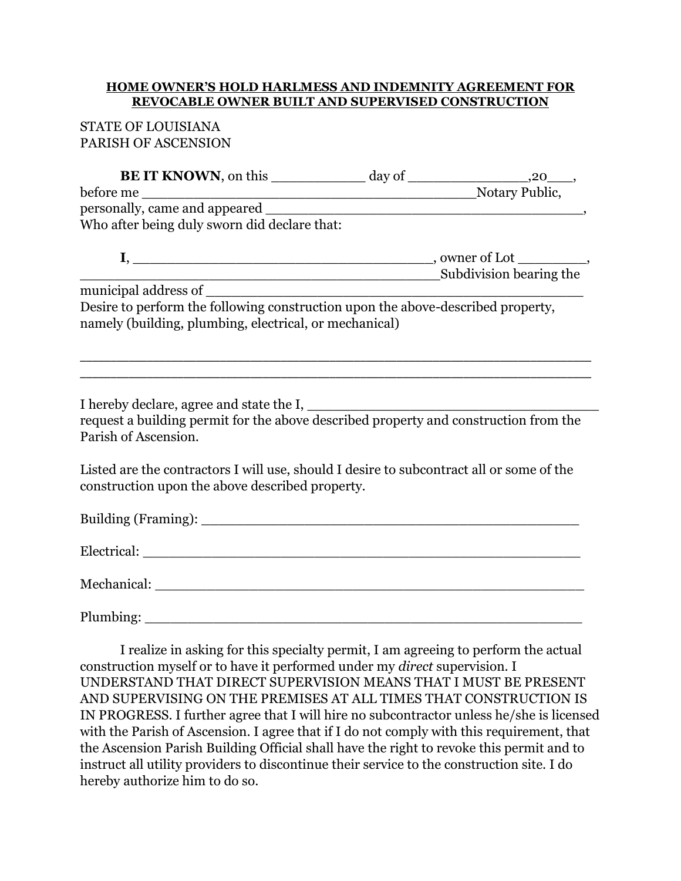## **HOME OWNER'S HOLD HARLMESS AND INDEMNITY AGREEMENT FOR REVOCABLE OWNER BUILT AND SUPERVISED CONSTRUCTION**

# STATE OF LOUISIANA PARISH OF ASCENSION

| <b>BE IT KNOWN</b> , on this                                                    | $day of$ 20                 |
|---------------------------------------------------------------------------------|-----------------------------|
| before me                                                                       | Notary Public,              |
| personally, came and appeared                                                   |                             |
| Who after being duly sworn did declare that:                                    |                             |
| <u> 1980 - Jan Barat, margaret amerikan ba</u>                                  | _, owner of Lot __________, |
|                                                                                 | Subdivision bearing the     |
| municipal address of                                                            |                             |
| Desire to perform the following construction upon the above-described property, |                             |
| namely (building, plumbing, electrical, or mechanical)                          |                             |
|                                                                                 |                             |
|                                                                                 |                             |

I hereby declare, agree and state the I, \_\_\_\_\_\_\_\_\_\_\_\_\_\_\_\_\_\_\_\_\_\_\_\_\_\_\_\_\_\_\_\_\_\_

request a building permit for the above described property and construction from the Parish of Ascension.

\_\_\_\_\_\_\_\_\_\_\_\_\_\_\_\_\_\_\_\_\_\_\_\_\_\_\_\_\_\_\_\_\_\_\_\_\_\_\_\_\_\_\_\_\_\_\_\_\_\_\_\_\_\_\_\_\_\_\_\_\_\_\_\_\_\_\_\_\_\_\_\_\_\_\_\_\_\_\_\_\_\_\_\_

Listed are the contractors I will use, should I desire to subcontract all or some of the construction upon the above described property.

| Mechanical:                        |
|------------------------------------|
| Plumbing: $\overline{\phantom{a}}$ |

I realize in asking for this specialty permit, I am agreeing to perform the actual construction myself or to have it performed under my *direct* supervision. I UNDERSTAND THAT DIRECT SUPERVISION MEANS THAT I MUST BE PRESENT AND SUPERVISING ON THE PREMISES AT ALL TIMES THAT CONSTRUCTION IS IN PROGRESS. I further agree that I will hire no subcontractor unless he/she is licensed with the Parish of Ascension. I agree that if I do not comply with this requirement, that the Ascension Parish Building Official shall have the right to revoke this permit and to instruct all utility providers to discontinue their service to the construction site. I do hereby authorize him to do so.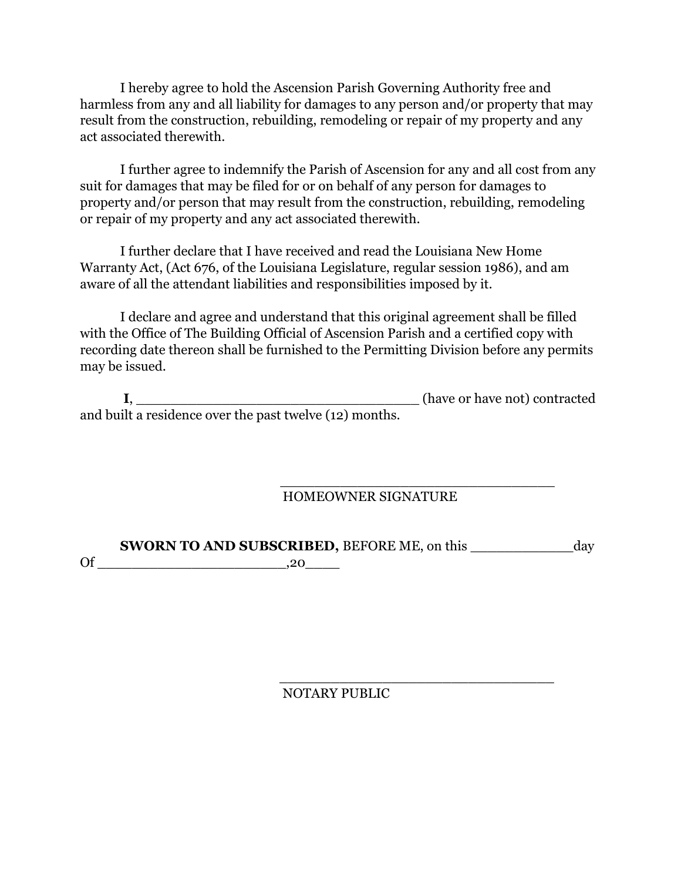I hereby agree to hold the Ascension Parish Governing Authority free and harmless from any and all liability for damages to any person and/or property that may result from the construction, rebuilding, remodeling or repair of my property and any act associated therewith.

I further agree to indemnify the Parish of Ascension for any and all cost from any suit for damages that may be filed for or on behalf of any person for damages to property and/or person that may result from the construction, rebuilding, remodeling or repair of my property and any act associated therewith.

I further declare that I have received and read the Louisiana New Home Warranty Act, (Act 676, of the Louisiana Legislature, regular session 1986), and am aware of all the attendant liabilities and responsibilities imposed by it.

I declare and agree and understand that this original agreement shall be filled with the Office of The Building Official of Ascension Parish and a certified copy with recording date thereon shall be furnished to the Permitting Division before any permits may be issued.

|                                                         | (have or have not) contracted |
|---------------------------------------------------------|-------------------------------|
| and built a residence over the past twelve (12) months. |                               |

 $\frac{1}{\sqrt{2}}$  ,  $\frac{1}{\sqrt{2}}$  ,  $\frac{1}{\sqrt{2}}$  ,  $\frac{1}{\sqrt{2}}$  ,  $\frac{1}{\sqrt{2}}$  ,  $\frac{1}{\sqrt{2}}$  ,  $\frac{1}{\sqrt{2}}$  ,  $\frac{1}{\sqrt{2}}$  ,  $\frac{1}{\sqrt{2}}$  ,  $\frac{1}{\sqrt{2}}$  ,  $\frac{1}{\sqrt{2}}$  ,  $\frac{1}{\sqrt{2}}$  ,  $\frac{1}{\sqrt{2}}$  ,  $\frac{1}{\sqrt{2}}$  ,  $\frac{1}{\sqrt{2}}$ 

# HOMEOWNER SIGNATURE

**SWORN TO AND SUBSCRIBED,** BEFORE ME, on this \_\_\_\_\_\_\_\_\_\_\_\_\_ day Of \_\_\_\_\_\_\_\_\_\_\_\_\_\_\_\_\_\_\_\_\_\_,20\_\_\_\_

NOTARY PUBLIC

 $\overline{\phantom{a}}$  , which is a set of the set of the set of the set of the set of the set of the set of the set of the set of the set of the set of the set of the set of the set of the set of the set of the set of the set of th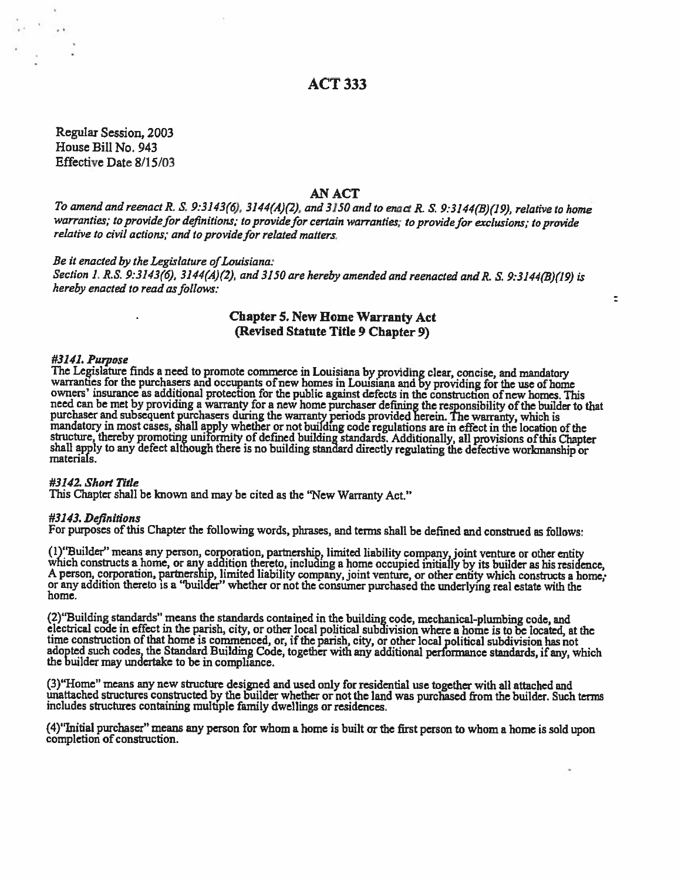# **ACT 333**

Regular Session, 2003 House Bill No. 943 Effective Date 8/15/03

## **AN ACT**

To amend and reenact R. S. 9:3143(6), 3144(A)(2), and 3150 and to enact R. S. 9:3144(B)(19), relative to home warranties; to provide for definitions; to provide for certain warranties; to provide for exclusions; to provide relative to civil actions; and to provide for related matters.

#### Be it enacted by the Legislature of Louisiana:

Section 1, R.S. 9:3143(6), 3144(A)(2), and 3150 are hereby amended and reenacted and R. S. 9:3144(B)(19) is hereby enacted to read as follows:

## **Chapter 5. New Home Warranty Act** (Revised Statute Title 9 Chapter 9)

 $\overline{z}$ 

#### #3141. Purpose

#3141. Purpose<br>The Legislature finds a need to promote commerce in Louisiana by providing clear, concise, and mandatory<br>warranties for the purchasers and occupants of new homes in Louisiana and by providing for the use of materials.

#### #3142. Short Title

This Chapter shall be known and may be cited as the "New Warranty Act."

#### #3143. Definitions

For purposes of this Chapter the following words, phrases, and terms shall be defined and construed as follows:

(1) "Builder" means any person, corporation, partnership, limited liability company, joint venture or other entity which constructs a home, or any addition thereto, including a home occupied initially by its builder as his home.

(2) "Building standards" means the standards contained in the building code, mechanical-plumbing code, and<br>electrical code in effect in the parish, city, or other local political subdivision where a home is to be located,

(3) "Home" means any new structure designed and used only for residential use together with all attached and unattached structures constructed by the builder whether or not the land was purchased from the builder. Such terms includes structures containing multiple family dwellings or residences.

(4) "Initial purchaser" means any person for whom a home is built or the first person to whom a home is sold upon completion of construction.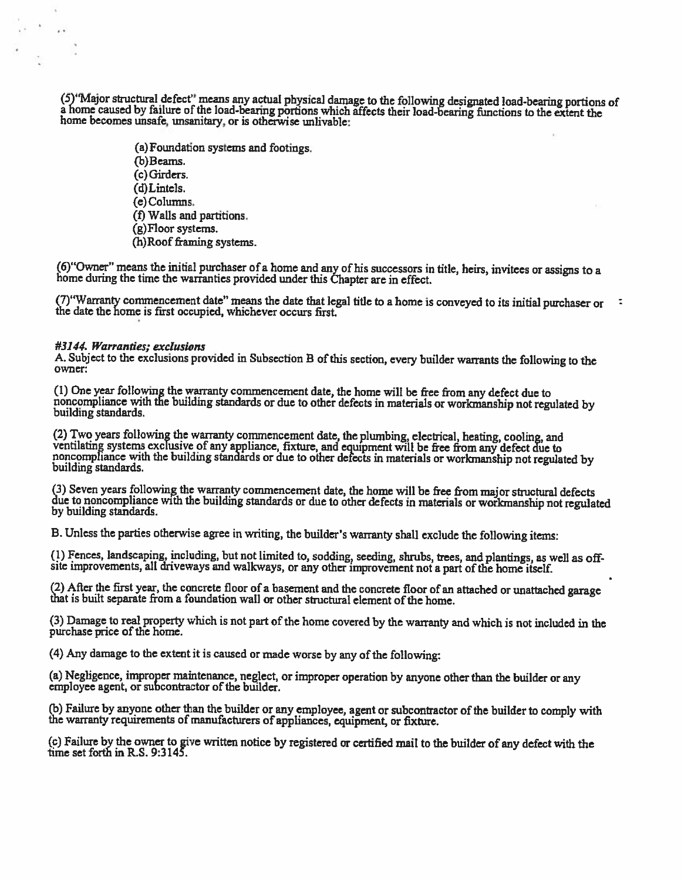(5) 'Major structural defect' means any actual physical damage to the following designated load-bearing portions of a home caused by failure of the load-bearing portions which affects their load-bearing functions to the ex home becomes unsafe, unsanitary, or is otherwise unlivable:

> (a) Foundation systems and footings. (b) Beams. (c) Girders. (d)Lintels. (e) Columns. (f) Walls and partitions. (g)Floor systems. (h)Roof framing systems.

(6) "Owner" means the initial purchaser of a home and any of his successors in title, heirs, invitees or assigns to a home during the time the warranties provided under this Chapter are in effect.

(7) "Warranty commencement date" means the date that legal title to a home is conveyed to its initial purchaser or the date the home is first occupied, whichever occurs first. −t,

#### #3144. Warranties: exclusions

i.

 $\ddot{\phantom{0}}$ 

A. Subject to the exclusions provided in Subsection B of this section, every builder warrants the following to the owner:

(1) One year following the warranty commencement date, the home will be free from any defect due to noncompliance with the building standards or due to other defects in materials or workmanship not regulated by building standards.

(2) Two years following the warranty commencement date, the plumbing, electrical, heating, cooling, and ventilating systems exclusive of any appliance, fixture, and equipment will be free from any defect due to noncomplian building standards.

(3) Seven years following the warranty commencement date, the home will be free from major structural defects due to noncompliance with the building standards or due to other defects in materials or workmanship not regulated by building standards.

B. Unless the parties otherwise agree in writing, the builder's warranty shall exclude the following items:

(1) Fences, landscaping, including, but not limited to, sodding, seeding, shrubs, trees, and plantings, as well as offsite improvements, all driveways and walkways, or any other improvement not a part of the home itself.

(2) After the first year, the concrete floor of a basement and the concrete floor of an attached or unattached garage that is built separate from a foundation wall or other structural element of the home.

(3) Damage to real property which is not part of the home covered by the warranty and which is not included in the purchase price of the home.

(4) Any damage to the extent it is caused or made worse by any of the following:

(a) Negligence, improper maintenance, neglect, or improper operation by anyone other than the builder or any employee agent, or subcontractor of the builder.

(b) Failure by anyone other than the builder or any employee, agent or subcontractor of the builder to comply with the warranty requirements of manufacturers of appliances, equipment, or fixture.

(c) Failure by the owner to give written notice by registered or certified mail to the builder of any defect with the time set forth in R.S. 9:3145.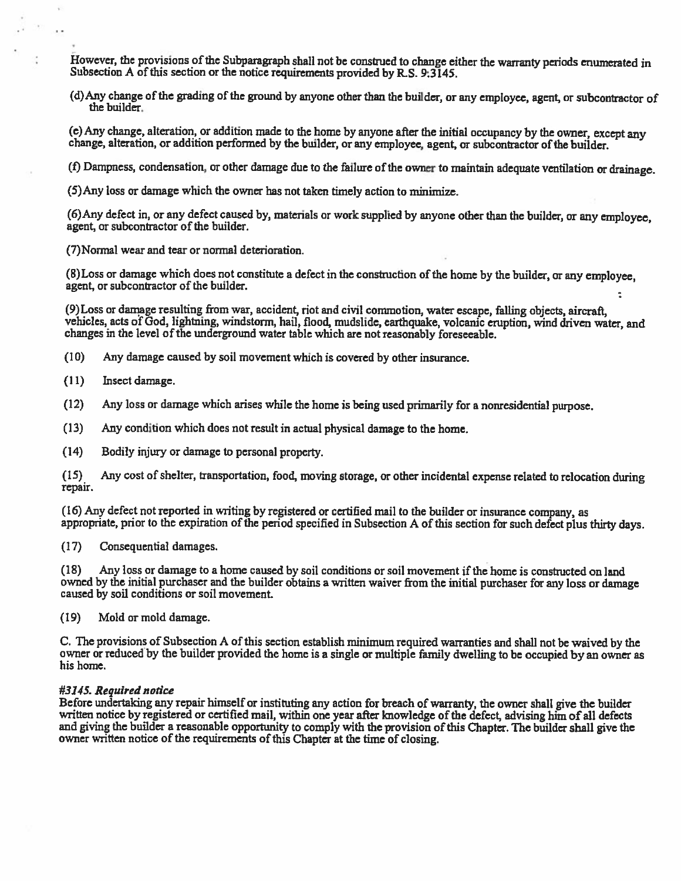However, the provisions of the Subparagraph shall not be construed to change either the warranty periods enumerated in Subsection A of this section or the notice requirements provided by R.S. 9:3145.

(d) Any change of the grading of the ground by anyone other than the builder, or any employee, agent, or subcontractor of the builder.

(e) Any change, alteration, or addition made to the home by anyone after the initial occupancy by the owner, except any change, alteration, or addition performed by the builder, or any employee, agent, or subcontractor of the builder.

(f) Dampness, condensation, or other damage due to the failure of the owner to maintain adequate ventilation or drainage.

(5) Any loss or damage which the owner has not taken timely action to minimize.

(6) Any defect in, or any defect caused by, materials or work supplied by anyone other than the builder, or any employee, agent, or subcontractor of the builder.

(7) Normal wear and tear or normal deterioration.

(8) Loss or damage which does not constitute a defect in the construction of the home by the builder, or any employee. agent, or subcontractor of the builder.

(9) Loss or damage resulting from war, accident, riot and civil commotion, water escape, falling objects, aircraft, vehicles, acts of God, lightning, windstorm, hail, flood, mudslide, earthquake, volcanic eruption, wind driven water, and changes in the level of the underground water table which are not reasonably foreseeable.

- $(10)$ Any damage caused by soil movement which is covered by other insurance.
- $(11)$ Insect damage.

 $\cdot$  .

- $(12)$ Any loss or damage which arises while the home is being used primarily for a nonresidential purpose.
- $(13)$ Any condition which does not result in actual physical damage to the home.
- $(14)$ Bodily injury or damage to personal property.

 $(15)$ Any cost of shelter, transportation, food, moving storage, or other incidental expense related to relocation during repair.

(16) Any defect not reported in writing by registered or certified mail to the builder or insurance company, as appropriate, prior to the expiration of the period specified in Subsection A of this section for such defect plus thirty days.

 $(17)$ Consequential damages.

Any loss or damage to a home caused by soil conditions or soil movement if the home is constructed on land  $(18)$ owned by the initial purchaser and the builder obtains a written waiver from the initial purchaser for any loss or damage caused by soil conditions or soil movement.

 $(19)$ Mold or mold damage.

C. The provisions of Subsection A of this section establish minimum required warranties and shall not be waived by the owner or reduced by the builder provided the home is a single or multiple family dwelling to be occupied by an owner as his home.

#### #3145. Required notice

Before undertaking any repair himself or instituting any action for breach of warranty, the owner shall give the builder written notice by registered or certified mail, within one year after knowledge of the defect, advising him of all defects and giving the builder a reasonable opportunity to comply with the provision of this Chapter. The builder shall give the owner written notice of the requirements of this Chapter at the time of closing.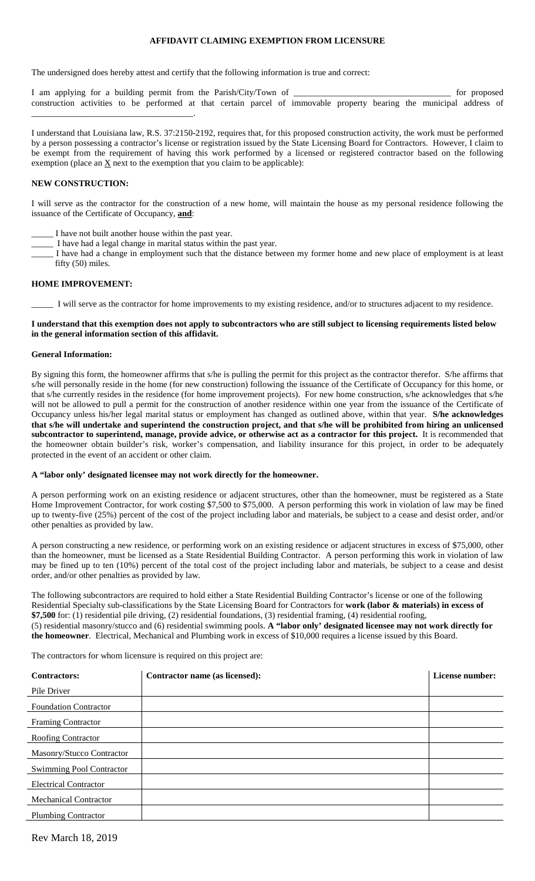## **AFFIDAVIT CLAIMING EXEMPTION FROM LICENSURE**

The undersigned does hereby attest and certify that the following information is true and correct:

I am applying for a building permit from the Parish/City/Town of \_\_\_\_\_\_\_\_\_\_\_\_\_\_\_\_\_\_\_\_\_\_\_\_\_\_\_\_\_\_\_\_\_\_\_\_ for proposed construction activities to be performed at that certain parcel of immovable property bearing the municipal address of \_\_\_\_\_\_\_\_\_\_\_\_\_\_\_\_\_\_\_\_\_\_\_\_\_\_\_\_\_\_\_\_\_\_\_\_\_.

I understand that Louisiana law, R.S. 37:2150-2192, requires that, for this proposed construction activity, the work must be performed by a person possessing a contractor's license or registration issued by the State Licensing Board for Contractors. However, I claim to be exempt from the requirement of having this work performed by a licensed or registered contractor based on the following exemption (place an  $\underline{X}$  next to the exemption that you claim to be applicable):

### **NEW CONSTRUCTION:**

I will serve as the contractor for the construction of a new home, will maintain the house as my personal residence following the issuance of the Certificate of Occupancy, **and**:

- I have not built another house within the past year.
- \_\_\_\_\_ I have had a legal change in marital status within the past year.
- I have had a change in employment such that the distance between my former home and new place of employment is at least fifty (50) miles.

## **HOME IMPROVEMENT:**

\_\_\_\_\_ I will serve as the contractor for home improvements to my existing residence, and/or to structures adjacent to my residence.

### **I understand that this exemption does not apply to subcontractors who are still subject to licensing requirements listed below in the general information section of this affidavit.**

### **General Information:**

By signing this form, the homeowner affirms that s/he is pulling the permit for this project as the contractor therefor. S/he affirms that s/he will personally reside in the home (for new construction) following the issuance of the Certificate of Occupancy for this home, or that s/he currently resides in the residence (for home improvement projects). For new home construction, s/he acknowledges that s/he will not be allowed to pull a permit for the construction of another residence within one year from the issuance of the Certificate of Occupancy unless his/her legal marital status or employment has changed as outlined above, within that year. **S/he acknowledges that s/he will undertake and superintend the construction project, and that s/he will be prohibited from hiring an unlicensed subcontractor to superintend, manage, provide advice, or otherwise act as a contractor for this project.** It is recommended that the homeowner obtain builder's risk, worker's compensation, and liability insurance for this project, in order to be adequately protected in the event of an accident or other claim.

## **A "labor only' designated licensee may not work directly for the homeowner.**

A person performing work on an existing residence or adjacent structures, other than the homeowner, must be registered as a State Home Improvement Contractor, for work costing \$7,500 to \$75,000. A person performing this work in violation of law may be fined up to twenty-five (25%) percent of the cost of the project including labor and materials, be subject to a cease and desist order, and/or other penalties as provided by law.

A person constructing a new residence, or performing work on an existing residence or adjacent structures in excess of \$75,000, other than the homeowner, must be licensed as a State Residential Building Contractor. A person performing this work in violation of law may be fined up to ten (10%) percent of the total cost of the project including labor and materials, be subject to a cease and desist order, and/or other penalties as provided by law.

The following subcontractors are required to hold either a State Residential Building Contractor's license or one of the following Residential Specialty sub-classifications by the State Licensing Board for Contractors for **work (labor & materials) in excess of \$7,500** for: (1) residential pile driving, (2) residential foundations, (3) residential framing, (4) residential roofing, (5) residential masonry/stucco and (6) residential swimming pools. **A "labor only' designated licensee may not work directly for the homeowner**. Electrical, Mechanical and Plumbing work in excess of \$10,000 requires a license issued by this Board.

The contractors for whom licensure is required on this project are:

| <b>Contractors:</b>             | Contractor name (as licensed): | License number: |
|---------------------------------|--------------------------------|-----------------|
| Pile Driver                     |                                |                 |
| <b>Foundation Contractor</b>    |                                |                 |
| <b>Framing Contractor</b>       |                                |                 |
| Roofing Contractor              |                                |                 |
| Masonry/Stucco Contractor       |                                |                 |
| <b>Swimming Pool Contractor</b> |                                |                 |
| <b>Electrical Contractor</b>    |                                |                 |
| <b>Mechanical Contractor</b>    |                                |                 |
| <b>Plumbing Contractor</b>      |                                |                 |